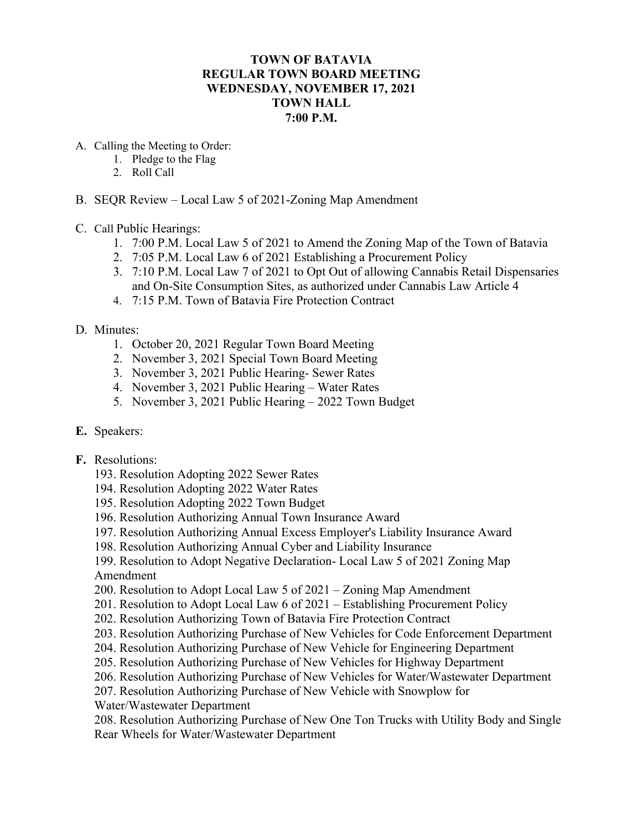## **TOWN OF BATAVIA REGULAR TOWN BOARD MEETING WEDNESDAY, NOVEMBER 17, 2021 TOWN HALL 7:00 P.M.**

- A. Calling the Meeting to Order:
	- 1. Pledge to the Flag
	- 2. Roll Call
- B. SEQR Review Local Law 5 of 2021-Zoning Map Amendment
- C. Call Public Hearings:
	- 1. 7:00 P.M. Local Law 5 of 2021 to Amend the Zoning Map of the Town of Batavia
	- 2. 7:05 P.M. Local Law 6 of 2021 Establishing a Procurement Policy
	- 3. 7:10 P.M. Local Law 7 of 2021 to Opt Out of allowing Cannabis Retail Dispensaries and On-Site Consumption Sites, as authorized under Cannabis Law Article 4
	- 4. 7:15 P.M. Town of Batavia Fire Protection Contract
- D. Minutes:
	- 1. October 20, 2021 Regular Town Board Meeting
	- 2. November 3, 2021 Special Town Board Meeting
	- 3. November 3, 2021 Public Hearing- Sewer Rates
	- 4. November 3, 2021 Public Hearing Water Rates
	- 5. November 3, 2021 Public Hearing 2022 Town Budget
- **E.** Speakers:
- **F.** Resolutions:
	- 193. Resolution Adopting 2022 Sewer Rates
	- 194. Resolution Adopting 2022 Water Rates
	- 195. Resolution Adopting 2022 Town Budget
	- 196. Resolution Authorizing Annual Town Insurance Award
	- 197. Resolution Authorizing Annual Excess Employer's Liability Insurance Award
	- 198. Resolution Authorizing Annual Cyber and Liability Insurance
	- 199. Resolution to Adopt Negative Declaration- Local Law 5 of 2021 Zoning Map Amendment
	- 200. Resolution to Adopt Local Law 5 of 2021 Zoning Map Amendment
	- 201. Resolution to Adopt Local Law 6 of 2021 Establishing Procurement Policy
	- 202. Resolution Authorizing Town of Batavia Fire Protection Contract
	- 203. Resolution Authorizing Purchase of New Vehicles for Code Enforcement Department
	- 204. Resolution Authorizing Purchase of New Vehicle for Engineering Department
	- 205. Resolution Authorizing Purchase of New Vehicles for Highway Department
	- 206. Resolution Authorizing Purchase of New Vehicles for Water/Wastewater Department
	- 207. Resolution Authorizing Purchase of New Vehicle with Snowplow for
	- Water/Wastewater Department

208. Resolution Authorizing Purchase of New One Ton Trucks with Utility Body and Single Rear Wheels for Water/Wastewater Department